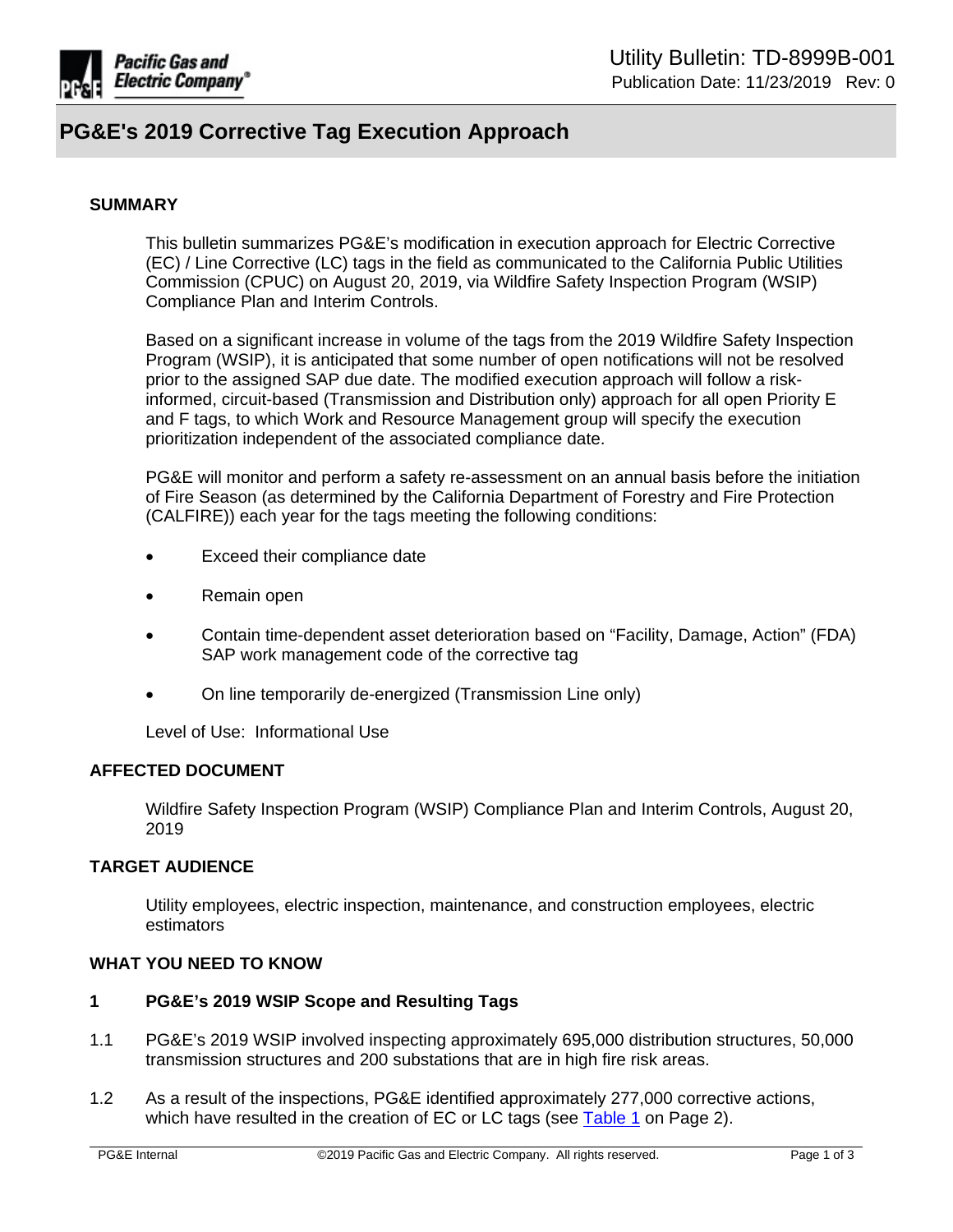

# **PG&E's 2019 Corrective Tag Execution Approach**

## **SUMMARY**

This bulletin summarizes PG&E's modification in execution approach for Electric Corrective (EC) / Line Corrective (LC) tags in the field as communicated to the California Public Utilities Commission (CPUC) on August 20, 2019, via Wildfire Safety Inspection Program (WSIP) Compliance Plan and Interim Controls.

Based on a significant increase in volume of the tags from the 2019 Wildfire Safety Inspection Program (WSIP), it is anticipated that some number of open notifications will not be resolved prior to the assigned SAP due date. The modified execution approach will follow a riskinformed, circuit-based (Transmission and Distribution only) approach for all open Priority E and F tags, to which Work and Resource Management group will specify the execution prioritization independent of the associated compliance date.

PG&E will monitor and perform a safety re-assessment on an annual basis before the initiation of Fire Season (as determined by the California Department of Forestry and Fire Protection (CALFIRE)) each year for the tags meeting the following conditions:

- Exceed their compliance date
- Remain open
- Contain time-dependent asset deterioration based on "Facility, Damage, Action" (FDA) SAP work management code of the corrective tag
- On line temporarily de-energized (Transmission Line only)

Level of Use: Informational Use

## **AFFECTED DOCUMENT**

Wildfire Safety Inspection Program (WSIP) Compliance Plan and Interim Controls, August 20, 2019

# **TARGET AUDIENCE**

Utility employees, electric inspection, maintenance, and construction employees, electric estimators

#### **WHAT YOU NEED TO KNOW**

# **1 PG&E's 2019 WSIP Scope and Resulting Tags**

- 1.1 PG&E's 2019 WSIP involved inspecting approximately 695,000 distribution structures, 50,000 transmission structures and 200 substations that are in high fire risk areas.
- 1.2 As a result of the inspections, PG&E identified approximately 277,000 corrective actions, which have resulted in the creation of EC or LC tags (see [Table 1](#page-1-0) on Page 2).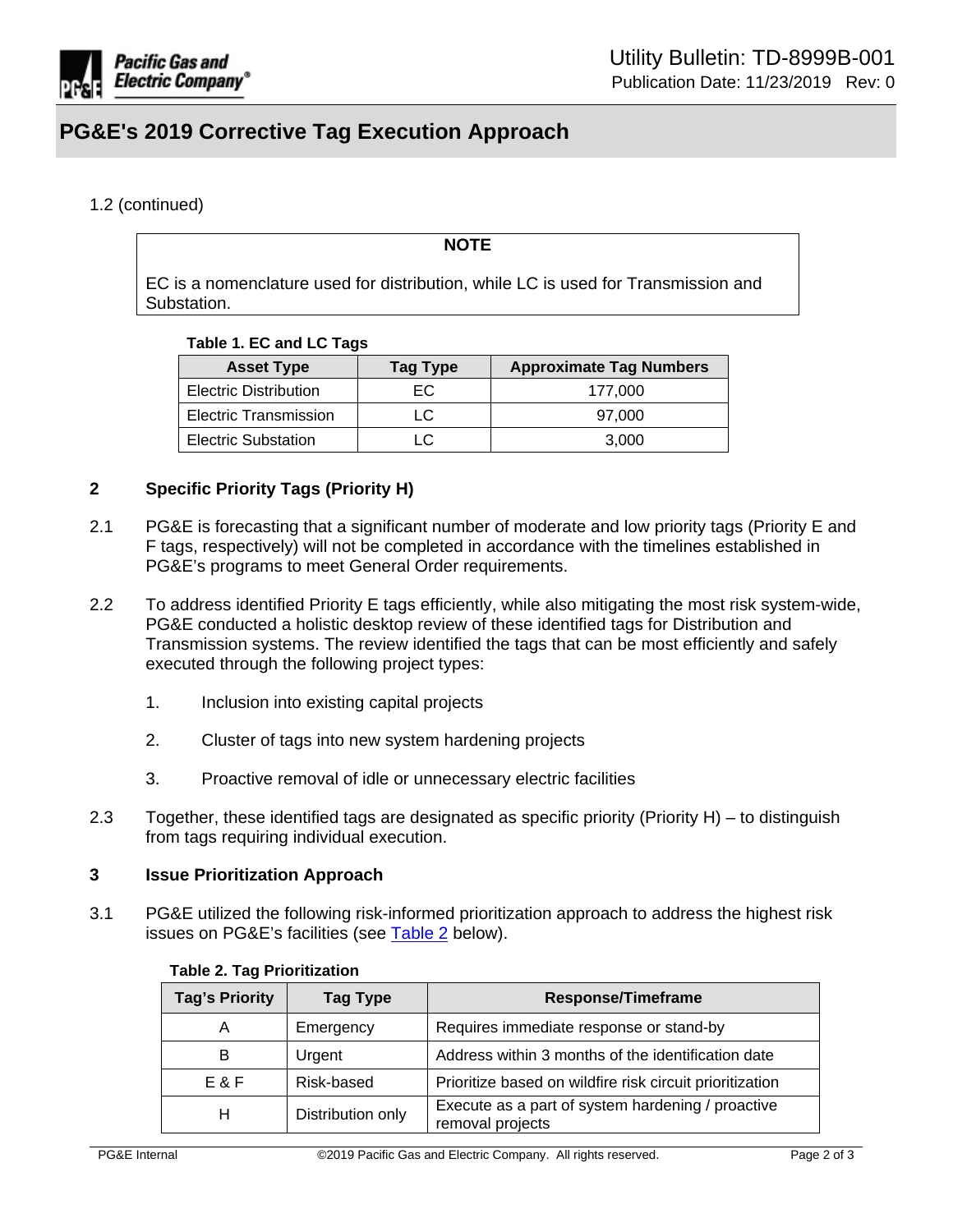

# **PG&E's 2019 Corrective Tag Execution Approach**

# 1.2 (continued)

### **NOTE**

EC is a nomenclature used for distribution, while LC is used for Transmission and Substation.

#### <span id="page-1-0"></span>**Table 1. EC and LC Tags**

| <b>Asset Type</b>            | <b>Tag Type</b> | <b>Approximate Tag Numbers</b> |
|------------------------------|-----------------|--------------------------------|
| <b>Electric Distribution</b> | EC.             | 177.000                        |
| <b>Electric Transmission</b> | LC.             | 97.000                         |
| <b>Electric Substation</b>   | LC              | 3.000                          |

## **2 Specific Priority Tags (Priority H)**

- 2.1 PG&E is forecasting that a significant number of moderate and low priority tags (Priority E and F tags, respectively) will not be completed in accordance with the timelines established in PG&E's programs to meet General Order requirements.
- 2.2 To address identified Priority E tags efficiently, while also mitigating the most risk system-wide, PG&E conducted a holistic desktop review of these identified tags for Distribution and Transmission systems. The review identified the tags that can be most efficiently and safely executed through the following project types:
	- 1. Inclusion into existing capital projects
	- 2. Cluster of tags into new system hardening projects
	- 3. Proactive removal of idle or unnecessary electric facilities
- 2.3 Together, these identified tags are designated as specific priority (Priority H) to distinguish from tags requiring individual execution.

#### **3 Issue Prioritization Approach**

3.1 PG&E utilized the following risk-informed prioritization approach to address the highest risk issues on PG&E's facilities (see [Table 2](#page-1-1) below).

| <b>Tag's Priority</b> | <b>Tag Type</b>   | <b>Response/Timeframe</b>                                             |
|-----------------------|-------------------|-----------------------------------------------------------------------|
| A                     | Emergency         | Requires immediate response or stand-by                               |
| B                     | Urgent            | Address within 3 months of the identification date                    |
| E & F                 | Risk-based        | Prioritize based on wildfire risk circuit prioritization              |
| н                     | Distribution only | Execute as a part of system hardening / proactive<br>removal projects |

## <span id="page-1-1"></span>**Table 2. Tag Prioritization**